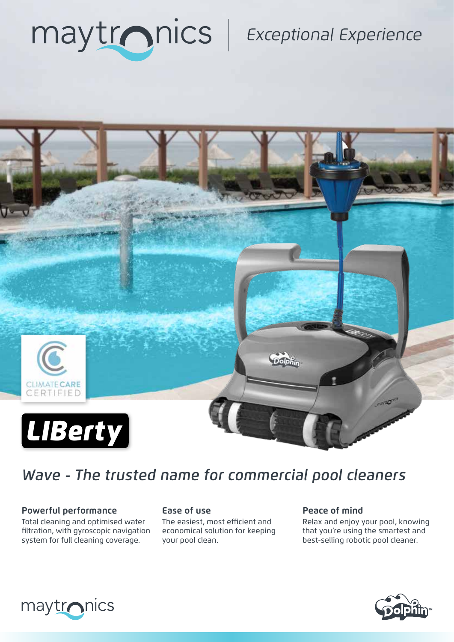

## **Exceptional Experience**



## *Wave - The trusted name for commercial pool cleaners*

### **Powerful performance Ease of use Ease of mind**

Total cleaning and optimised water filtration, with gyroscopic navigation system for full cleaning coverage.

The easiest, most efficient and economical solution for keeping your pool clean.

Relax and enjoy your pool, knowing that you're using the smartest and best-selling robotic pool cleaner.